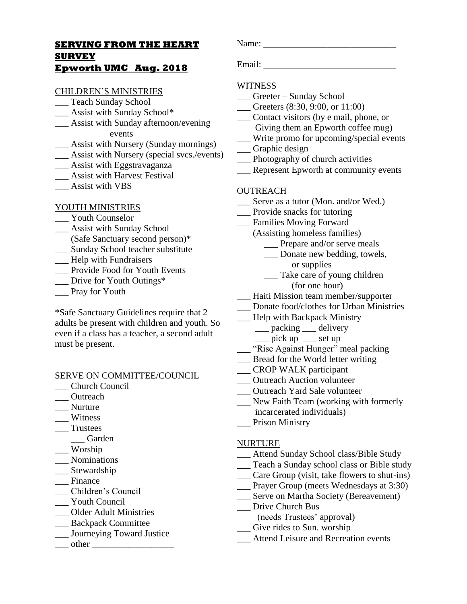# **SERVING FROM THE HEART SURVEY**

# **Epworth UMC Aug. 2018**

#### CHILDREN'S MINISTRIES

- \_\_ Teach Sunday School
- \_\_\_ Assist with Sunday School\*
- \_\_\_ Assist with Sunday afternoon/evening
	- events
- \_\_\_ Assist with Nursery (Sunday mornings)
- \_\_\_ Assist with Nursery (special svcs./events)
- \_\_\_ Assist with Eggstravaganza
- \_\_\_ Assist with Harvest Festival
- \_\_\_ Assist with VBS

## YOUTH MINISTRIES

- Youth Counselor
- \_\_\_ Assist with Sunday School
- (Safe Sanctuary second person)\* \_\_\_ Sunday School teacher substitute
- 
- \_\_\_ Help with Fundraisers
- \_\_\_ Provide Food for Youth Events
- \_\_\_ Drive for Youth Outings\*
- \_\_\_ Pray for Youth

\*Safe Sanctuary Guidelines require that 2 adults be present with children and youth. So even if a class has a teacher, a second adult must be present.

#### SERVE ON COMMITTEE/COUNCIL

- \_\_\_ Church Council
- \_\_\_ Outreach
- \_\_\_ Nurture
- \_\_\_ Witness
- \_\_\_ Trustees
	- \_\_\_ Garden
- \_\_\_ Worship
- \_\_\_ Nominations
- \_\_ Stewardship
- \_\_\_ Finance
- \_\_\_ Children's Council
- \_\_\_ Youth Council
- \_\_\_ Older Adult Ministries
- \_\_\_ Backpack Committee
- \_\_\_ Journeying Toward Justice
- $\Box$  other  $\Box$

Name: \_\_\_\_\_\_\_\_\_\_\_\_\_\_\_\_\_\_\_\_\_\_\_\_\_\_\_\_\_

# **WITNESS**

- \_\_\_ Greeter Sunday School
- \_\_\_ Greeters (8:30, 9:00, or 11:00)
- \_\_\_ Contact visitors (by e mail, phone, or Giving them an Epworth coffee mug)
- \_\_\_ Write promo for upcoming/special events
- \_\_\_ Graphic design
- \_\_\_ Photography of church activities
- \_\_\_ Represent Epworth at community events

#### **OUTREACH**

- \_\_\_ Serve as a tutor (Mon. and/or Wed.)
- \_\_\_ Provide snacks for tutoring
- \_\_\_ Families Moving Forward
	- (Assisting homeless families)
		- Prepare and/or serve meals
		- \_\_\_ Donate new bedding, towels, or supplies
		- \_\_\_ Take care of young children (for one hour)
- \_\_\_ Haiti Mission team member/supporter
- 
- \_\_\_ Donate food/clothes for Urban Ministries
- \_\_\_ Help with Backpack Ministry
	- \_\_ packing \_\_ delivery
	- $\equiv$  pick up  $\equiv$  set up
- "Rise Against Hunger" meal packing
- \_\_\_ Bread for the World letter writing
- \_\_ CROP WALK participant
- \_\_\_ Outreach Auction volunteer
- \_\_\_ Outreach Yard Sale volunteer
- \_\_\_ New Faith Team (working with formerly incarcerated individuals)
- \_\_\_ Prison Ministry

#### NURTURE

- \_\_\_ Attend Sunday School class/Bible Study
- \_\_\_ Teach a Sunday school class or Bible study
- \_\_\_ Care Group (visit, take flowers to shut-ins)
- \_\_\_ Prayer Group (meets Wednesdays at 3:30)
- \_\_\_ Serve on Martha Society (Bereavement)
- \_\_\_ Drive Church Bus
- (needs Trustees' approval)
- \_\_\_ Give rides to Sun. worship
- \_\_\_ Attend Leisure and Recreation events

Email: